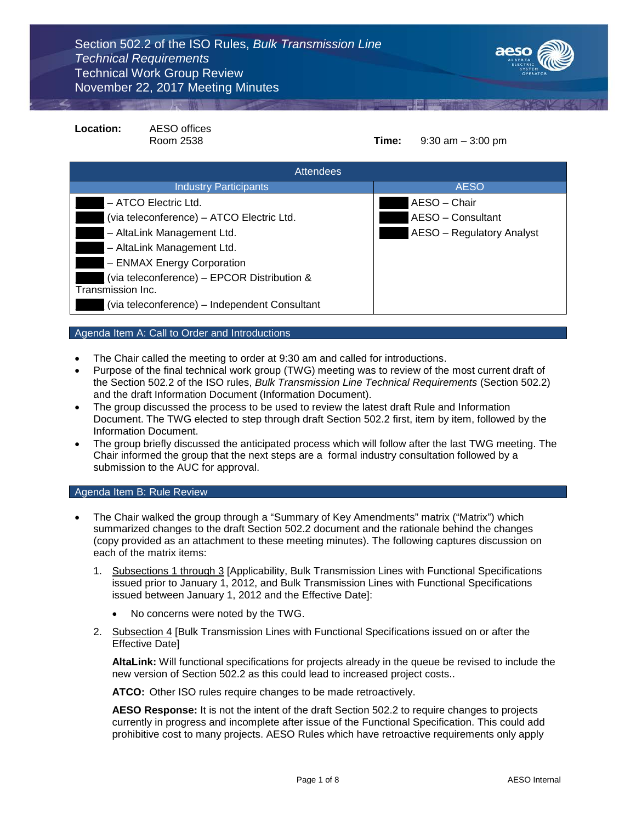

| Location:                                                        | <b>AESO</b> offices<br>Room 2538 | Time: | $9:30$ am $-3:00$ pm      |
|------------------------------------------------------------------|----------------------------------|-------|---------------------------|
| <b>Attendees</b>                                                 |                                  |       |                           |
|                                                                  | <b>Industry Participants</b>     |       | <b>AESO</b>               |
| - ATCO Electric Ltd.                                             |                                  |       | AESO - Chair              |
| (via teleconference) – ATCO Electric Ltd.                        |                                  |       | AESO - Consultant         |
| - AltaLink Management Ltd.                                       |                                  |       | AESO - Regulatory Analyst |
| - AltaLink Management Ltd.                                       |                                  |       |                           |
| - ENMAX Energy Corporation                                       |                                  |       |                           |
| (via teleconference) – EPCOR Distribution &<br>Transmission Inc. |                                  |       |                           |
| (via teleconference) - Independent Consultant                    |                                  |       |                           |

# Agenda Item A: Call to Order and Introductions

- The Chair called the meeting to order at 9:30 am and called for introductions.
- Purpose of the final technical work group (TWG) meeting was to review of the most current draft of the Section 502.2 of the ISO rules, *Bulk Transmission Line Technical Requirements* (Section 502.2) and the draft Information Document (Information Document).
- The group discussed the process to be used to review the latest draft Rule and Information Document. The TWG elected to step through draft Section 502.2 first, item by item, followed by the Information Document.
- The group briefly discussed the anticipated process which will follow after the last TWG meeting. The Chair informed the group that the next steps are a formal industry consultation followed by a submission to the AUC for approval.

# Agenda Item B: Rule Review

- The Chair walked the group through a "Summary of Key Amendments" matrix ("Matrix") which summarized changes to the draft Section 502.2 document and the rationale behind the changes (copy provided as an attachment to these meeting minutes). The following captures discussion on each of the matrix items:
	- 1. Subsections 1 through 3 [Applicability, Bulk Transmission Lines with Functional Specifications issued prior to January 1, 2012, and Bulk Transmission Lines with Functional Specifications issued between January 1, 2012 and the Effective Date]:
		- No concerns were noted by the TWG.
	- 2. Subsection 4 [Bulk Transmission Lines with Functional Specifications issued on or after the Effective Date]

**AltaLink:** Will functional specifications for projects already in the queue be revised to include the new version of Section 502.2 as this could lead to increased project costs..

**ATCO:** Other ISO rules require changes to be made retroactively.

**AESO Response:** It is not the intent of the draft Section 502.2 to require changes to projects currently in progress and incomplete after issue of the Functional Specification. This could add prohibitive cost to many projects. AESO Rules which have retroactive requirements only apply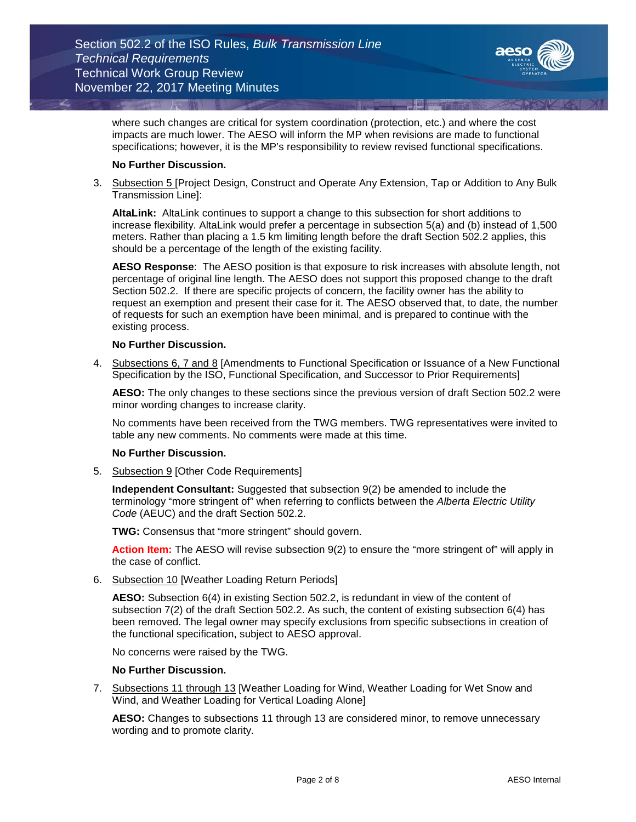

where such changes are critical for system coordination (protection, etc.) and where the cost impacts are much lower. The AESO will inform the MP when revisions are made to functional specifications; however, it is the MP's responsibility to review revised functional specifications.

# **No Further Discussion.**

3. Subsection 5 [Project Design, Construct and Operate Any Extension, Tap or Addition to Any Bulk Transmission Line]:

**AltaLink:** AltaLink continues to support a change to this subsection for short additions to increase flexibility. AltaLink would prefer a percentage in subsection 5(a) and (b) instead of 1,500 meters. Rather than placing a 1.5 km limiting length before the draft Section 502.2 applies, this should be a percentage of the length of the existing facility.

**AESO Response**: The AESO position is that exposure to risk increases with absolute length, not percentage of original line length. The AESO does not support this proposed change to the draft Section 502.2. If there are specific projects of concern, the facility owner has the ability to request an exemption and present their case for it. The AESO observed that, to date, the number of requests for such an exemption have been minimal, and is prepared to continue with the existing process.

# **No Further Discussion.**

4. Subsections 6, 7 and 8 [Amendments to Functional Specification or Issuance of a New Functional Specification by the ISO, Functional Specification, and Successor to Prior Requirements]

**AESO:** The only changes to these sections since the previous version of draft Section 502.2 were minor wording changes to increase clarity.

No comments have been received from the TWG members. TWG representatives were invited to table any new comments. No comments were made at this time.

# **No Further Discussion.**

5. Subsection 9 [Other Code Requirements]

**Independent Consultant:** Suggested that subsection 9(2) be amended to include the terminology "more stringent of" when referring to conflicts between the *Alberta Electric Utility Code* (AEUC) and the draft Section 502.2.

**TWG:** Consensus that "more stringent" should govern.

**Action Item:** The AESO will revise subsection 9(2) to ensure the "more stringent of" will apply in the case of conflict.

6. Subsection 10 [Weather Loading Return Periods]

**AESO:** Subsection 6(4) in existing Section 502.2, is redundant in view of the content of subsection 7(2) of the draft Section 502.2. As such, the content of existing subsection 6(4) has been removed. The legal owner may specify exclusions from specific subsections in creation of the functional specification, subject to AESO approval.

No concerns were raised by the TWG.

# **No Further Discussion.**

7. Subsections 11 through 13 [Weather Loading for Wind, Weather Loading for Wet Snow and Wind, and Weather Loading for Vertical Loading Alone]

**AESO:** Changes to subsections 11 through 13 are considered minor, to remove unnecessary wording and to promote clarity.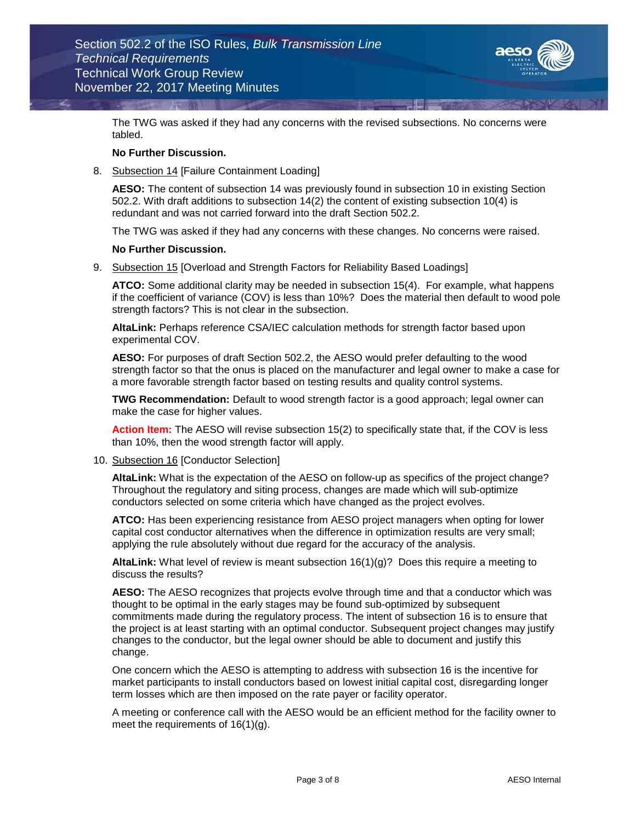

The TWG was asked if they had any concerns with the revised subsections. No concerns were tabled.

# **No Further Discussion.**

8. Subsection 14 [Failure Containment Loading]

**AESO:** The content of subsection 14 was previously found in subsection 10 in existing Section 502.2. With draft additions to subsection 14(2) the content of existing subsection 10(4) is redundant and was not carried forward into the draft Section 502.2.

The TWG was asked if they had any concerns with these changes. No concerns were raised.

# **No Further Discussion.**

9. Subsection 15 [Overload and Strength Factors for Reliability Based Loadings]

**ATCO:** Some additional clarity may be needed in subsection 15(4). For example, what happens if the coefficient of variance (COV) is less than 10%? Does the material then default to wood pole strength factors? This is not clear in the subsection.

**AltaLink:** Perhaps reference CSA/IEC calculation methods for strength factor based upon experimental COV.

**AESO:** For purposes of draft Section 502.2, the AESO would prefer defaulting to the wood strength factor so that the onus is placed on the manufacturer and legal owner to make a case for a more favorable strength factor based on testing results and quality control systems.

**TWG Recommendation:** Default to wood strength factor is a good approach; legal owner can make the case for higher values.

**Action Item:** The AESO will revise subsection 15(2) to specifically state that, if the COV is less than 10%, then the wood strength factor will apply.

10. Subsection 16 [Conductor Selection]

**AltaLink:** What is the expectation of the AESO on follow-up as specifics of the project change? Throughout the regulatory and siting process, changes are made which will sub-optimize conductors selected on some criteria which have changed as the project evolves.

**ATCO:** Has been experiencing resistance from AESO project managers when opting for lower capital cost conductor alternatives when the difference in optimization results are very small; applying the rule absolutely without due regard for the accuracy of the analysis.

**AltaLink:** What level of review is meant subsection 16(1)(g)? Does this require a meeting to discuss the results?

**AESO:** The AESO recognizes that projects evolve through time and that a conductor which was thought to be optimal in the early stages may be found sub-optimized by subsequent commitments made during the regulatory process. The intent of subsection 16 is to ensure that the project is at least starting with an optimal conductor. Subsequent project changes may justify changes to the conductor, but the legal owner should be able to document and justify this change.

One concern which the AESO is attempting to address with subsection 16 is the incentive for market participants to install conductors based on lowest initial capital cost, disregarding longer term losses which are then imposed on the rate payer or facility operator.

A meeting or conference call with the AESO would be an efficient method for the facility owner to meet the requirements of 16(1)(g).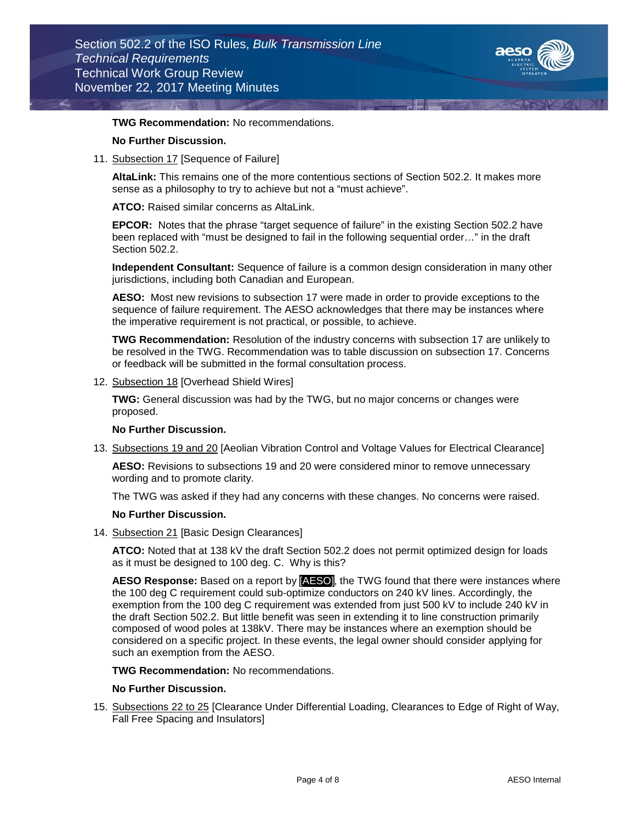

# **TWG Recommendation:** No recommendations.

# **No Further Discussion.**

11. Subsection 17 [Sequence of Failure]

**AltaLink:** This remains one of the more contentious sections of Section 502.2. It makes more sense as a philosophy to try to achieve but not a "must achieve".

**ATCO:** Raised similar concerns as AltaLink.

**EPCOR:** Notes that the phrase "target sequence of failure" in the existing Section 502.2 have been replaced with "must be designed to fail in the following sequential order…" in the draft Section 502.2.

**Independent Consultant:** Sequence of failure is a common design consideration in many other jurisdictions, including both Canadian and European.

**AESO:** Most new revisions to subsection 17 were made in order to provide exceptions to the sequence of failure requirement. The AESO acknowledges that there may be instances where the imperative requirement is not practical, or possible, to achieve.

**TWG Recommendation:** Resolution of the industry concerns with subsection 17 are unlikely to be resolved in the TWG. Recommendation was to table discussion on subsection 17. Concerns or feedback will be submitted in the formal consultation process.

12. Subsection 18 [Overhead Shield Wires]

**TWG:** General discussion was had by the TWG, but no major concerns or changes were proposed.

#### **No Further Discussion.**

13. Subsections 19 and 20 [Aeolian Vibration Control and Voltage Values for Electrical Clearance]

**AESO:** Revisions to subsections 19 and 20 were considered minor to remove unnecessary wording and to promote clarity.

The TWG was asked if they had any concerns with these changes. No concerns were raised.

### **No Further Discussion.**

14. Subsection 21 [Basic Design Clearances]

**ATCO:** Noted that at 138 kV the draft Section 502.2 does not permit optimized design for loads as it must be designed to 100 deg. C. Why is this?

**AESO Response:** Based on a report by [AESO], the TWG found that there were instances where the 100 deg C requirement could sub-optimize conductors on 240 kV lines. Accordingly, the exemption from the 100 deg C requirement was extended from just 500 kV to include 240 kV in the draft Section 502.2. But little benefit was seen in extending it to line construction primarily composed of wood poles at 138kV. There may be instances where an exemption should be considered on a specific project. In these events, the legal owner should consider applying for such an exemption from the AESO.

**TWG Recommendation:** No recommendations.

# **No Further Discussion.**

15. Subsections 22 to 25 [Clearance Under Differential Loading, Clearances to Edge of Right of Way, Fall Free Spacing and Insulators]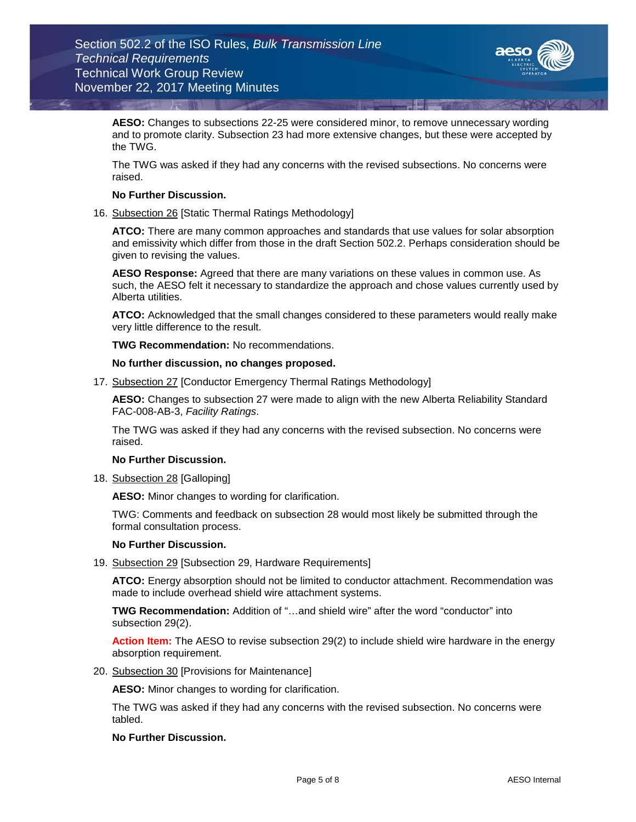

**AESO:** Changes to subsections 22-25 were considered minor, to remove unnecessary wording and to promote clarity. Subsection 23 had more extensive changes, but these were accepted by the TWG.

The TWG was asked if they had any concerns with the revised subsections. No concerns were raised.

# **No Further Discussion.**

16. Subsection 26 [Static Thermal Ratings Methodology]

**ATCO:** There are many common approaches and standards that use values for solar absorption and emissivity which differ from those in the draft Section 502.2. Perhaps consideration should be given to revising the values.

**AESO Response:** Agreed that there are many variations on these values in common use. As such, the AESO felt it necessary to standardize the approach and chose values currently used by Alberta utilities.

**ATCO:** Acknowledged that the small changes considered to these parameters would really make very little difference to the result.

**TWG Recommendation:** No recommendations.

**No further discussion, no changes proposed.**

17. Subsection 27 [Conductor Emergency Thermal Ratings Methodology]

**AESO:** Changes to subsection 27 were made to align with the new Alberta Reliability Standard FAC-008-AB-3, *Facility Ratings*.

The TWG was asked if they had any concerns with the revised subsection. No concerns were raised.

# **No Further Discussion.**

18. Subsection 28 [Galloping]

**AESO:** Minor changes to wording for clarification.

TWG: Comments and feedback on subsection 28 would most likely be submitted through the formal consultation process.

# **No Further Discussion.**

19. Subsection 29 [Subsection 29, Hardware Requirements]

**ATCO:** Energy absorption should not be limited to conductor attachment. Recommendation was made to include overhead shield wire attachment systems.

**TWG Recommendation:** Addition of "…and shield wire" after the word "conductor" into subsection 29(2).

**Action Item:** The AESO to revise subsection 29(2) to include shield wire hardware in the energy absorption requirement.

20. Subsection 30 [Provisions for Maintenance]

**AESO:** Minor changes to wording for clarification.

The TWG was asked if they had any concerns with the revised subsection. No concerns were tabled.

# **No Further Discussion.**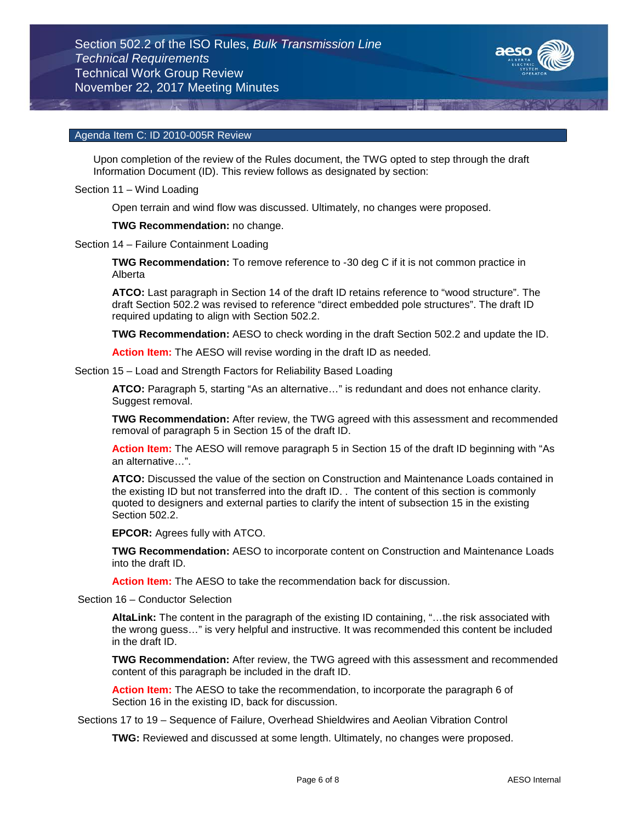

# Agenda Item C: ID 2010-005R Review

Upon completion of the review of the Rules document, the TWG opted to step through the draft Information Document (ID). This review follows as designated by section:

Section 11 – Wind Loading

Open terrain and wind flow was discussed. Ultimately, no changes were proposed.

**TWG Recommendation:** no change.

Section 14 – Failure Containment Loading

**TWG Recommendation:** To remove reference to -30 deg C if it is not common practice in Alberta

**ATCO:** Last paragraph in Section 14 of the draft ID retains reference to "wood structure". The draft Section 502.2 was revised to reference "direct embedded pole structures". The draft ID required updating to align with Section 502.2.

**TWG Recommendation:** AESO to check wording in the draft Section 502.2 and update the ID.

**Action Item:** The AESO will revise wording in the draft ID as needed.

Section 15 – Load and Strength Factors for Reliability Based Loading

**ATCO:** Paragraph 5, starting "As an alternative…" is redundant and does not enhance clarity. Suggest removal.

**TWG Recommendation:** After review, the TWG agreed with this assessment and recommended removal of paragraph 5 in Section 15 of the draft ID.

**Action Item:** The AESO will remove paragraph 5 in Section 15 of the draft ID beginning with "As an alternative…".

**ATCO:** Discussed the value of the section on Construction and Maintenance Loads contained in the existing ID but not transferred into the draft ID. . The content of this section is commonly quoted to designers and external parties to clarify the intent of subsection 15 in the existing Section 502.2.

**EPCOR:** Agrees fully with ATCO.

**TWG Recommendation:** AESO to incorporate content on Construction and Maintenance Loads into the draft ID.

**Action Item:** The AESO to take the recommendation back for discussion.

Section 16 – Conductor Selection

**AltaLink:** The content in the paragraph of the existing ID containing, "…the risk associated with the wrong guess…" is very helpful and instructive. It was recommended this content be included in the draft ID.

**TWG Recommendation:** After review, the TWG agreed with this assessment and recommended content of this paragraph be included in the draft ID.

**Action Item:** The AESO to take the recommendation, to incorporate the paragraph 6 of Section 16 in the existing ID, back for discussion.

Sections 17 to 19 – Sequence of Failure, Overhead Shieldwires and Aeolian Vibration Control

**TWG:** Reviewed and discussed at some length. Ultimately, no changes were proposed.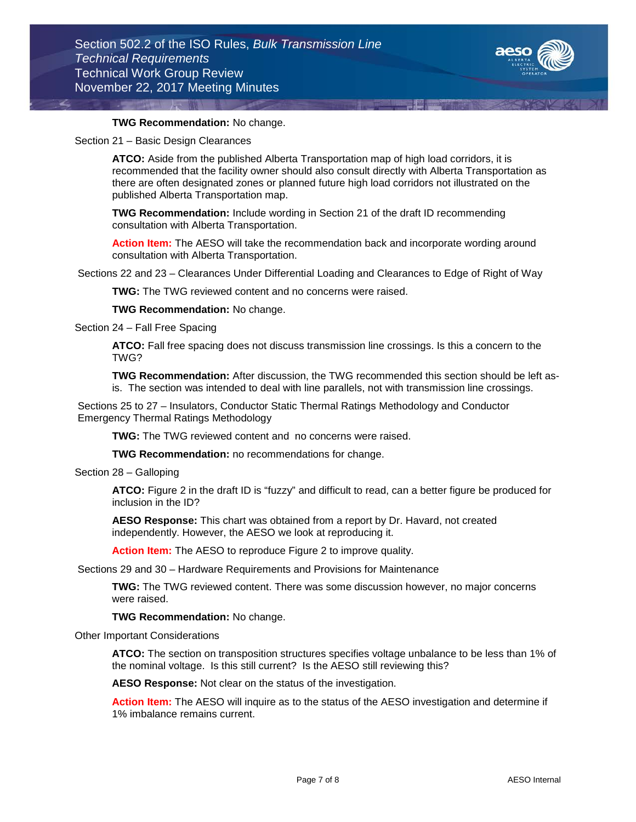

# **TWG Recommendation:** No change.

Section 21 – Basic Design Clearances

**ATCO:** Aside from the published Alberta Transportation map of high load corridors, it is recommended that the facility owner should also consult directly with Alberta Transportation as there are often designated zones or planned future high load corridors not illustrated on the published Alberta Transportation map.

**TWG Recommendation:** Include wording in Section 21 of the draft ID recommending consultation with Alberta Transportation.

**Action Item:** The AESO will take the recommendation back and incorporate wording around consultation with Alberta Transportation.

Sections 22 and 23 – Clearances Under Differential Loading and Clearances to Edge of Right of Way

**TWG:** The TWG reviewed content and no concerns were raised.

**TWG Recommendation:** No change.

Section 24 – Fall Free Spacing

**ATCO:** Fall free spacing does not discuss transmission line crossings. Is this a concern to the TWG?

**TWG Recommendation:** After discussion, the TWG recommended this section should be left asis. The section was intended to deal with line parallels, not with transmission line crossings.

Sections 25 to 27 – Insulators, Conductor Static Thermal Ratings Methodology and Conductor Emergency Thermal Ratings Methodology

**TWG:** The TWG reviewed content and no concerns were raised.

**TWG Recommendation:** no recommendations for change.

Section 28 – Galloping

**ATCO:** Figure 2 in the draft ID is "fuzzy" and difficult to read, can a better figure be produced for inclusion in the ID?

**AESO Response:** This chart was obtained from a report by Dr. Havard, not created independently. However, the AESO we look at reproducing it.

**Action Item:** The AESO to reproduce Figure 2 to improve quality.

Sections 29 and 30 – Hardware Requirements and Provisions for Maintenance

**TWG:** The TWG reviewed content. There was some discussion however, no major concerns were raised.

**TWG Recommendation:** No change.

Other Important Considerations

**ATCO:** The section on transposition structures specifies voltage unbalance to be less than 1% of the nominal voltage. Is this still current? Is the AESO still reviewing this?

**AESO Response:** Not clear on the status of the investigation.

**Action Item:** The AESO will inquire as to the status of the AESO investigation and determine if 1% imbalance remains current.